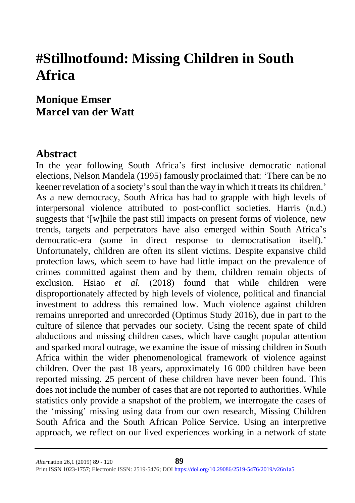# **#Stillnotfound: Missing Children in South Africa**

# **Monique Emser Marcel van der Watt**

### **Abstract**

In the year following South Africa's first inclusive democratic national elections, Nelson Mandela (1995) famously proclaimed that: 'There can be no keener revelation of a society's soul than the way in which it treats its children.' As a new democracy, South Africa has had to grapple with high levels of interpersonal violence attributed to post-conflict societies. Harris (n.d.) suggests that '[w]hile the past still impacts on present forms of violence, new trends, targets and perpetrators have also emerged within South Africa's democratic-era (some in direct response to democratisation itself).' Unfortunately, children are often its silent victims. Despite expansive child protection laws, which seem to have had little impact on the prevalence of crimes committed against them and by them, children remain objects of exclusion. Hsiao *et al.* (2018) found that while children were disproportionately affected by high levels of violence, political and financial investment to address this remained low. Much violence against children remains unreported and unrecorded (Optimus Study 2016), due in part to the culture of silence that pervades our society. Using the recent spate of child abductions and missing children cases, which have caught popular attention and sparked moral outrage, we examine the issue of missing children in South Africa within the wider phenomenological framework of violence against children. Over the past 18 years, approximately 16 000 children have been reported missing. 25 percent of these children have never been found. This does not include the number of cases that are not reported to authorities. While statistics only provide a snapshot of the problem, we interrogate the cases of the 'missing' missing using data from our own research, Missing Children South Africa and the South African Police Service. Using an interpretive approach, we reflect on our lived experiences working in a network of state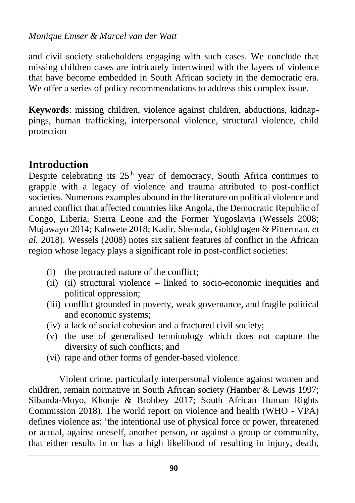and civil society stakeholders engaging with such cases. We conclude that missing children cases are intricately intertwined with the layers of violence that have become embedded in South African society in the democratic era. We offer a series of policy recommendations to address this complex issue.

**Keywords**: missing children, violence against children, abductions, kidnappings, human trafficking, interpersonal violence, structural violence, child protection

# **Introduction**

Despite celebrating its  $25<sup>th</sup>$  year of democracy, South Africa continues to grapple with a legacy of violence and trauma attributed to post-conflict societies. Numerous examples abound in the literature on political violence and armed conflict that affected countries like Angola, the Democratic Republic of Congo, Liberia, Sierra Leone and the Former Yugoslavia (Wessels 2008; Mujawayo 2014; Kabwete 2018; Kadir, Shenoda, Goldghagen & Pitterman, *et al.* 2018). Wessels (2008) notes six salient features of conflict in the African region whose legacy plays a significant role in post-conflict societies:

- (i) the protracted nature of the conflict;
- (ii) (ii) structural violence linked to socio-economic inequities and political oppression;
- (iii) conflict grounded in poverty, weak governance, and fragile political and economic systems;
- (iv) a lack of social cohesion and a fractured civil society;
- (v) the use of generalised terminology which does not capture the diversity of such conflicts; and
- (vi) rape and other forms of gender-based violence.

Violent crime, particularly interpersonal violence against women and children, remain normative in South African society (Hamber & Lewis 1997; Sibanda-Moyo, Khonje & Brobbey 2017; South African Human Rights Commission 2018). The world report on violence and health (WHO - VPA) defines violence as: 'the intentional use of physical force or power, threatened or actual, against oneself, another person, or against a group or community, that either results in or has a high likelihood of resulting in injury, death,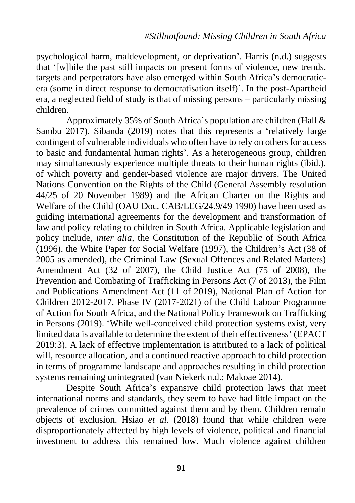psychological harm, maldevelopment, or deprivation'. Harris (n.d.) suggests that '[w]hile the past still impacts on present forms of violence, new trends, targets and perpetrators have also emerged within South Africa's democraticera (some in direct response to democratisation itself)'. In the post-Apartheid era, a neglected field of study is that of missing persons – particularly missing children.

Approximately 35% of South Africa's population are children (Hall & Sambu 2017). Sibanda (2019) notes that this represents a 'relatively large contingent of vulnerable individuals who often have to rely on others for access to basic and fundamental human rights'. As a heterogeneous group, children may simultaneously experience multiple threats to their human rights (ibid.), of which poverty and gender-based violence are major drivers. The United Nations Convention on the Rights of the Child (General Assembly resolution 44/25 of 20 November 1989) and the African Charter on the Rights and Welfare of the Child (OAU Doc. CAB/LEG/24.9/49 1990) have been used as guiding international agreements for the development and transformation of law and policy relating to children in South Africa. Applicable legislation and policy include, *inter alia*, the Constitution of the Republic of South Africa (1996), the White Paper for Social Welfare (1997), the Children's Act (38 of 2005 as amended), the Criminal Law (Sexual Offences and Related Matters) Amendment Act (32 of 2007), the Child Justice Act (75 of 2008), the Prevention and Combating of Trafficking in Persons Act (7 of 2013), the Film and Publications Amendment Act (11 of 2019), National Plan of Action for Children 2012-2017, Phase IV (2017-2021) of the Child Labour Programme of Action for South Africa, and the National Policy Framework on Trafficking in Persons (2019). 'While well-conceived child protection systems exist, very limited data is available to determine the extent of their effectiveness' (EPACT 2019:3). A lack of effective implementation is attributed to a lack of political will, resource allocation, and a continued reactive approach to child protection in terms of programme landscape and approaches resulting in child protection systems remaining unintegrated (van Niekerk n.d.; Makoae 2014).

Despite South Africa's expansive child protection laws that meet international norms and standards, they seem to have had little impact on the prevalence of crimes committed against them and by them. Children remain objects of exclusion. Hsiao *et al.* (2018) found that while children were disproportionately affected by high levels of violence, political and financial investment to address this remained low. Much violence against children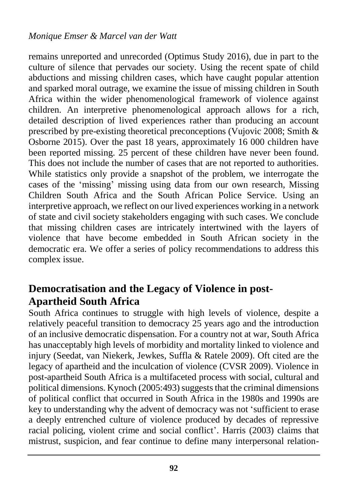remains unreported and unrecorded (Optimus Study 2016), due in part to the culture of silence that pervades our society. Using the recent spate of child abductions and missing children cases, which have caught popular attention and sparked moral outrage, we examine the issue of missing children in South Africa within the wider phenomenological framework of violence against children. An interpretive phenomenological approach allows for a rich, detailed description of lived experiences rather than producing an account prescribed by pre-existing theoretical preconceptions (Vujovic 2008; Smith & Osborne 2015). Over the past 18 years, approximately 16 000 children have been reported missing. 25 percent of these children have never been found. This does not include the number of cases that are not reported to authorities. While statistics only provide a snapshot of the problem, we interrogate the cases of the 'missing' missing using data from our own research, Missing Children South Africa and the South African Police Service. Using an interpretive approach, we reflect on our lived experiences working in a network of state and civil society stakeholders engaging with such cases. We conclude that missing children cases are intricately intertwined with the layers of violence that have become embedded in South African society in the democratic era. We offer a series of policy recommendations to address this complex issue.

# **Democratisation and the Legacy of Violence in post-Apartheid South Africa**

South Africa continues to struggle with high levels of violence, despite a relatively peaceful transition to democracy 25 years ago and the introduction of an inclusive democratic dispensation. For a country not at war, South Africa has unacceptably high levels of morbidity and mortality linked to violence and injury (Seedat, van Niekerk, Jewkes, Suffla & Ratele 2009). Oft cited are the legacy of apartheid and the inculcation of violence (CVSR 2009). Violence in post-apartheid South Africa is a multifaceted process with social, cultural and political dimensions. Kynoch (2005:493) suggests that the criminal dimensions of political conflict that occurred in South Africa in the 1980s and 1990s are key to understanding why the advent of democracy was not 'sufficient to erase a deeply entrenched culture of violence produced by decades of repressive racial policing, violent crime and social conflict'. Harris (2003) claims that mistrust, suspicion, and fear continue to define many interpersonal relation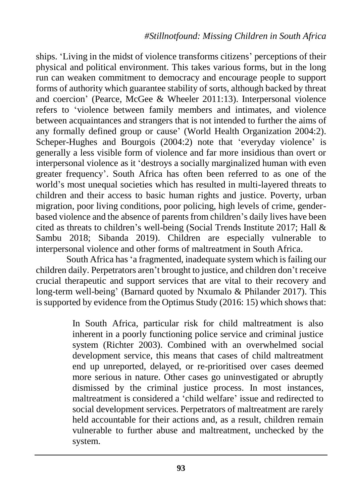ships. 'Living in the midst of violence transforms citizens' perceptions of their physical and political environment. This takes various forms, but in the long run can weaken commitment to democracy and encourage people to support forms of authority which guarantee stability of sorts, although backed by threat and coercion' (Pearce, McGee & Wheeler 2011:13). Interpersonal violence refers to 'violence between family members and intimates, and violence between acquaintances and strangers that is not intended to further the aims of any formally defined group or cause' (World Health Organization 2004:2). Scheper-Hughes and Bourgois (2004:2) note that 'everyday violence' is generally a less visible form of violence and far more insidious than overt or interpersonal violence as it 'destroys a socially marginalized human with even greater frequency'. South Africa has often been referred to as one of the world's most unequal societies which has resulted in multi-layered threats to children and their access to basic human rights and justice. Poverty, urban migration, poor living conditions, poor policing, high levels of crime, genderbased violence and the absence of parents from children's daily lives have been cited as threats to children's well-being (Social Trends Institute 2017; Hall & Sambu 2018; Sibanda 2019). Children are especially vulnerable to interpersonal violence and other forms of maltreatment in South Africa.

South Africa has 'a fragmented, inadequate system which is failing our children daily. Perpetrators aren't brought to justice, and children don't receive crucial therapeutic and support services that are vital to their recovery and long-term well-being' (Barnard quoted by Nxumalo & Philander 2017). This is supported by evidence from the Optimus Study (2016: 15) which shows that:

> In South Africa, particular risk for child maltreatment is also inherent in a poorly functioning police service and criminal justice system (Richter 2003). Combined with an overwhelmed social development service, this means that cases of child maltreatment end up unreported, delayed, or re-prioritised over cases deemed more serious in nature. Other cases go uninvestigated or abruptly dismissed by the criminal justice process. In most instances, maltreatment is considered a 'child welfare' issue and redirected to social development services. Perpetrators of maltreatment are rarely held accountable for their actions and, as a result, children remain vulnerable to further abuse and maltreatment, unchecked by the system.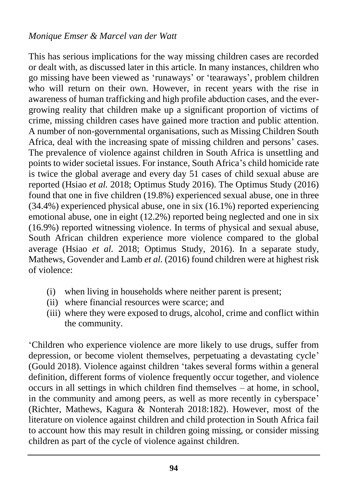This has serious implications for the way missing children cases are recorded or dealt with, as discussed later in this article. In many instances, children who go missing have been viewed as 'runaways' or 'tearaways', problem children who will return on their own. However, in recent years with the rise in awareness of human trafficking and high profile abduction cases, and the evergrowing reality that children make up a significant proportion of victims of crime, missing children cases have gained more traction and public attention. A number of non-governmental organisations, such as Missing Children South Africa, deal with the increasing spate of missing children and persons' cases. The prevalence of violence against children in South Africa is unsettling and points to wider societal issues. For instance, South Africa's child homicide rate is twice the global average and every day 51 cases of child sexual abuse are reported (Hsiao *et al.* 2018; Optimus Study 2016). The Optimus Study (2016) found that one in five children (19.8%) experienced sexual abuse, one in three (34.4%) experienced physical abuse, one in six (16.1%) reported experiencing emotional abuse, one in eight (12.2%) reported being neglected and one in six (16.9%) reported witnessing violence. In terms of physical and sexual abuse, South African children experience more violence compared to the global average (Hsiao *et al.* 2018; Optimus Study, 2016). In a separate study, Mathews, Govender and Lamb *et al.* (2016) found children were at highest risk of violence:

- (i) when living in households where neither parent is present;
- (ii) where financial resources were scarce; and
- (iii) where they were exposed to drugs, alcohol, crime and conflict within the community.

'Children who experience violence are more likely to use drugs, suffer from depression, or become violent themselves, perpetuating a devastating cycle' (Gould 2018). Violence against children 'takes several forms within a general definition, different forms of violence frequently occur together, and violence occurs in all settings in which children find themselves – at home, in school, in the community and among peers, as well as more recently in cyberspace' (Richter, Mathews, Kagura & Nonterah 2018:182). However, most of the literature on violence against children and child protection in South Africa fail to account how this may result in children going missing, or consider missing children as part of the cycle of violence against children.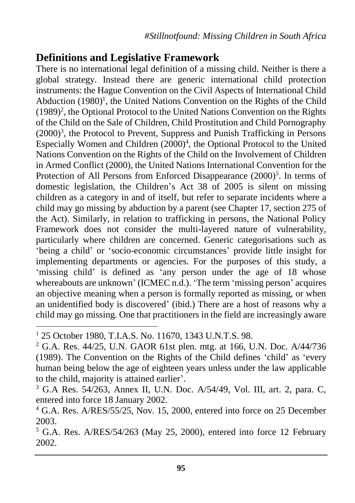# **Definitions and Legislative Framework**

There is no international legal definition of a missing child. Neither is there a global strategy. Instead there are generic international child protection instruments: the Hague Convention on the Civil Aspects of International Child Abduction  $(1980)^1$ , the United Nations Convention on the Rights of the Child (1989)<sup>2</sup>, the Optional Protocol to the United Nations Convention on the Rights of the Child on the Sale of Children, Child Prostitution and Child Pornography (2000)<sup>3</sup>, the Protocol to Prevent, Suppress and Punish Trafficking in Persons Especially Women and Children (2000)<sup>4</sup>, the Optional Protocol to the United Nations Convention on the Rights of the Child on the Involvement of Children in Armed Conflict (2000), the United Nations International Convention for the Protection of All Persons from Enforced Disappearance (2000)<sup>5</sup>. In terms of domestic legislation, the Children's Act 38 of 2005 is silent on missing children as a category in and of itself, but refer to separate incidents where a child may go missing by abduction by a parent (see Chapter 17, section 275 of the Act). Similarly, in relation to trafficking in persons, the National Policy Framework does not consider the multi-layered nature of vulnerability, particularly where children are concerned. Generic categorisations such as 'being a child' or 'socio-economic circumstances' provide little insight for implementing departments or agencies. For the purposes of this study, a 'missing child' is defined as 'any person under the age of 18 whose whereabouts are unknown' (ICMEC n.d.). 'The term 'missing person' acquires an objective meaning when a person is formally reported as missing, or when an unidentified body is discovered' (ibid.) There are a host of reasons why a child may go missing. One that practitioners in the field are increasingly aware

 $\overline{a}$ 

<sup>1</sup> 25 October 1980, T.I.A.S. No. 11670, 1343 U.N.T.S. 98.

<sup>2</sup> G.A. Res. 44/25, U.N. GAOR 61st plen. mtg. at 166, U.N. Doc. A/44/736 (1989). The Convention on the Rights of the Child defines 'child' as 'every human being below the age of eighteen years unless under the law applicable to the child, majority is attained earlier'.

<sup>3</sup> G.A Res. 54/263, Annex II, U.N. Doc. A/54/49, Vol. III, art. 2, para. C, entered into force 18 January 2002.

<sup>&</sup>lt;sup>4</sup> G.A. Res. A/RES/55/25, Nov. 15, 2000, entered into force on 25 December 2003.

<sup>5</sup> G.A. Res. A/RES/54/263 (May 25, 2000), entered into force 12 February 2002.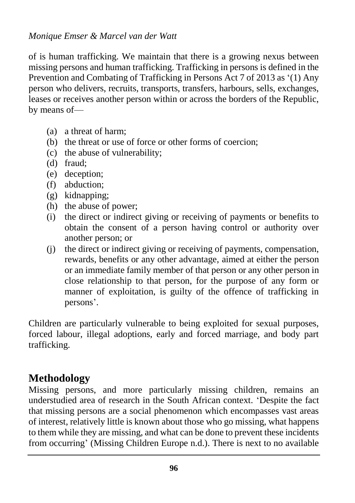of is human trafficking. We maintain that there is a growing nexus between missing persons and human trafficking. Trafficking in persons is defined in the Prevention and Combating of Trafficking in Persons Act 7 of 2013 as '(1) Any person who delivers, recruits, transports, transfers, harbours, sells, exchanges, leases or receives another person within or across the borders of the Republic, by means of—

- (a) a threat of harm;
- (b) the threat or use of force or other forms of coercion;
- (c) the abuse of vulnerability;
- (d) fraud;
- (e) deception;
- (f) abduction;
- (g) kidnapping;
- (h) the abuse of power;
- (i) the direct or indirect giving or receiving of payments or benefits to obtain the consent of a person having control or authority over another person; or
- (j) the direct or indirect giving or receiving of payments, compensation, rewards, benefits or any other advantage, aimed at either the person or an immediate family member of that person or any other person in close relationship to that person, for the purpose of any form or manner of exploitation, is guilty of the offence of trafficking in persons'.

Children are particularly vulnerable to being exploited for sexual purposes, forced labour, illegal adoptions, early and forced marriage, and body part trafficking.

# **Methodology**

Missing persons, and more particularly missing children, remains an understudied area of research in the South African context. 'Despite the fact that missing persons are a social phenomenon which encompasses vast areas of interest, relatively little is known about those who go missing, what happens to them while they are missing, and what can be done to prevent these incidents from occurring' (Missing Children Europe n.d.). There is next to no available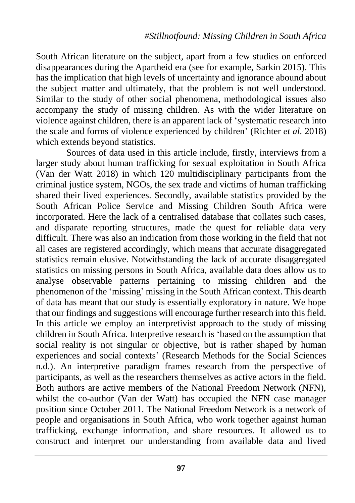South African literature on the subject, apart from a few studies on enforced disappearances during the Apartheid era (see for example, Sarkin 2015). This has the implication that high levels of uncertainty and ignorance abound about the subject matter and ultimately, that the problem is not well understood. Similar to the study of other social phenomena, methodological issues also accompany the study of missing children. As with the wider literature on violence against children, there is an apparent lack of 'systematic research into the scale and forms of violence experienced by children' (Richter *et al.* 2018) which extends beyond statistics.

Sources of data used in this article include, firstly, interviews from a larger study about human trafficking for sexual exploitation in South Africa (Van der Watt 2018) in which 120 multidisciplinary participants from the criminal justice system, NGOs, the sex trade and victims of human trafficking shared their lived experiences. Secondly, available statistics provided by the South African Police Service and Missing Children South Africa were incorporated. Here the lack of a centralised database that collates such cases, and disparate reporting structures, made the quest for reliable data very difficult. There was also an indication from those working in the field that not all cases are registered accordingly, which means that accurate disaggregated statistics remain elusive. Notwithstanding the lack of accurate disaggregated statistics on missing persons in South Africa, available data does allow us to analyse observable patterns pertaining to missing children and the phenomenon of the 'missing' missing in the South African context. This dearth of data has meant that our study is essentially exploratory in nature. We hope that our findings and suggestions will encourage further research into this field. In this article we employ an interpretivist approach to the study of missing children in South Africa. Interpretive research is 'based on the assumption that social reality is not singular or objective, but is rather shaped by human experiences and social contexts' (Research Methods for the Social Sciences n.d.). An interpretive paradigm frames research from the perspective of participants, as well as the researchers themselves as active actors in the field. Both authors are active members of the National Freedom Network (NFN), whilst the co-author (Van der Watt) has occupied the NFN case manager position since October 2011. The National Freedom Network is a network of people and organisations in South Africa, who work together against human trafficking, exchange information, and share resources. It allowed us to construct and interpret our understanding from available data and lived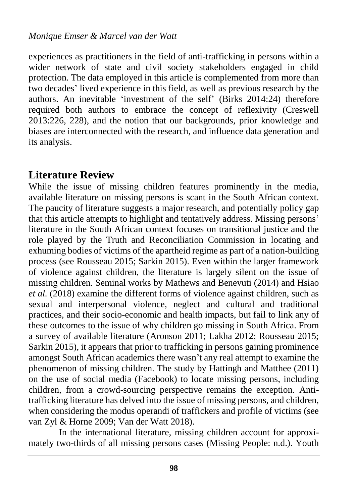experiences as practitioners in the field of anti-trafficking in persons within a wider network of state and civil society stakeholders engaged in child protection. The data employed in this article is complemented from more than two decades' lived experience in this field, as well as previous research by the authors. An inevitable 'investment of the self' (Birks 2014:24) therefore required both authors to embrace the concept of reflexivity (Creswell 2013:226, 228), and the notion that our backgrounds, prior knowledge and biases are interconnected with the research, and influence data generation and its analysis.

### **Literature Review**

While the issue of missing children features prominently in the media, available literature on missing persons is scant in the South African context. The paucity of literature suggests a major research, and potentially policy gap that this article attempts to highlight and tentatively address. Missing persons' literature in the South African context focuses on transitional justice and the role played by the Truth and Reconciliation Commission in locating and exhuming bodies of victims of the apartheid regime as part of a nation-building process (see Rousseau 2015; Sarkin 2015). Even within the larger framework of violence against children, the literature is largely silent on the issue of missing children. Seminal works by Mathews and Benevuti (2014) and Hsiao *et al.* (2018) examine the different forms of violence against children, such as sexual and interpersonal violence, neglect and cultural and traditional practices, and their socio-economic and health impacts, but fail to link any of these outcomes to the issue of why children go missing in South Africa. From a survey of available literature (Aronson 2011; Lakha 2012; Rousseau 2015; Sarkin 2015), it appears that prior to trafficking in persons gaining prominence amongst South African academics there wasn't any real attempt to examine the phenomenon of missing children. The study by Hattingh and Matthee (2011) on the use of social media (Facebook) to locate missing persons, including children, from a crowd-sourcing perspective remains the exception. Antitrafficking literature has delved into the issue of missing persons, and children, when considering the modus operandi of traffickers and profile of victims (see van Zyl & Horne 2009; Van der Watt 2018).

In the international literature, missing children account for approximately two-thirds of all missing persons cases (Missing People: n.d.). Youth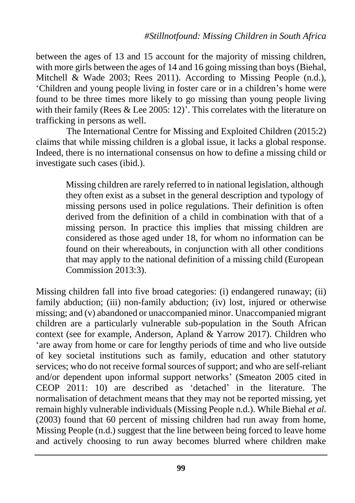between the ages of 13 and 15 account for the majority of missing children, with more girls between the ages of 14 and 16 going missing than boys (Biehal, Mitchell & Wade 2003; Rees 2011). According to Missing People (n.d.), 'Children and young people living in foster care or in a children's home were found to be three times more likely to go missing than young people living with their family (Rees & Lee 2005: 12)'. This correlates with the literature on trafficking in persons as well.

The International Centre for Missing and Exploited Children (2015:2) claims that while missing children is a global issue, it lacks a global response. Indeed, there is no international consensus on how to define a missing child or investigate such cases (ibid.).

> Missing children are rarely referred to in national legislation, although they often exist as a subset in the general description and typology of missing persons used in police regulations. Their definition is often derived from the definition of a child in combination with that of a missing person. In practice this implies that missing children are considered as those aged under 18, for whom no information can be found on their whereabouts, in conjunction with all other conditions that may apply to the national definition of a missing child (European Commission 2013:3).

Missing children fall into five broad categories: (i) endangered runaway; (ii) family abduction; (iii) non-family abduction; (iv) lost, injured or otherwise missing; and (v) abandoned or unaccompanied minor. Unaccompanied migrant children are a particularly vulnerable sub-population in the South African context (see for example, Anderson, Apland & Yarrow 2017). Children who 'are away from home or care for lengthy periods of time and who live outside of key societal institutions such as family, education and other statutory services; who do not receive formal sources of support; and who are self-reliant and/or dependent upon informal support networks' (Smeaton 2005 cited in CEOP 2011: 10) are described as 'detached' in the literature. The normalisation of detachment means that they may not be reported missing, yet remain highly vulnerable individuals (Missing People n.d.). While Biehal *et al.* (2003) found that 60 percent of missing children had run away from home, Missing People (n.d.) suggest that the line between being forced to leave home and actively choosing to run away becomes blurred where children make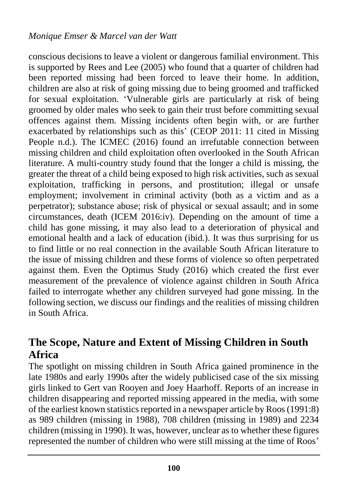conscious decisions to leave a violent or dangerous familial environment. This is supported by Rees and Lee (2005) who found that a quarter of children had been reported missing had been forced to leave their home. In addition, children are also at risk of going missing due to being groomed and trafficked for sexual exploitation. 'Vulnerable girls are particularly at risk of being groomed by older males who seek to gain their trust before committing sexual offences against them. Missing incidents often begin with, or are further exacerbated by relationships such as this' (CEOP 2011: 11 cited in Missing People n.d.). The ICMEC (2016) found an irrefutable connection between missing children and child exploitation often overlooked in the South African literature. A multi-country study found that the longer a child is missing, the greater the threat of a child being exposed to high risk activities, such as sexual exploitation, trafficking in persons, and prostitution; illegal or unsafe employment; involvement in criminal activity (both as a victim and as a perpetrator); substance abuse; risk of physical or sexual assault; and in some circumstances, death (ICEM 2016:iv). Depending on the amount of time a child has gone missing, it may also lead to a deterioration of physical and emotional health and a lack of education (ibid.). It was thus surprising for us to find little or no real connection in the available South African literature to the issue of missing children and these forms of violence so often perpetrated against them. Even the Optimus Study (2016) which created the first ever measurement of the prevalence of violence against children in South Africa failed to interrogate whether any children surveyed had gone missing. In the following section, we discuss our findings and the realities of missing children in South Africa.

# **The Scope, Nature and Extent of Missing Children in South Africa**

The spotlight on missing children in South Africa gained prominence in the late 1980s and early 1990s after the widely publicised case of the six missing girls linked to Gert van Rooyen and Joey Haarhoff. Reports of an increase in children disappearing and reported missing appeared in the media, with some of the earliest known statistics reported in a newspaper article by Roos (1991:8) as 989 children (missing in 1988), 708 children (missing in 1989) and 2234 children (missing in 1990). It was, however, unclear as to whether these figures represented the number of children who were still missing at the time of Roos'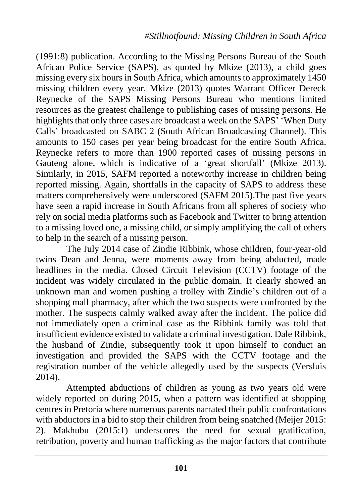(1991:8) publication. According to the Missing Persons Bureau of the South African Police Service (SAPS), as quoted by Mkize (2013), a child goes missing every six hours in South Africa, which amounts to approximately 1450 missing children every year. Mkize (2013) quotes Warrant Officer Dereck Reynecke of the SAPS Missing Persons Bureau who mentions limited resources as the greatest challenge to publishing cases of missing persons. He highlights that only three cases are broadcast a week on the SAPS' 'When Duty Calls' broadcasted on SABC 2 (South African Broadcasting Channel). This amounts to 150 cases per year being broadcast for the entire South Africa. Reynecke refers to more than 1900 reported cases of missing persons in Gauteng alone, which is indicative of a 'great shortfall' (Mkize 2013). Similarly, in 2015, SAFM reported a noteworthy increase in children being reported missing. Again, shortfalls in the capacity of SAPS to address these matters comprehensively were underscored (SAFM 2015).The past five years have seen a rapid increase in South Africans from all spheres of society who rely on social media platforms such as Facebook and Twitter to bring attention to a missing loved one, a missing child, or simply amplifying the call of others to help in the search of a missing person.

The July 2014 case of Zindie Ribbink, whose children, four-year-old twins Dean and Jenna, were moments away from being abducted, made headlines in the media. Closed Circuit Television (CCTV) footage of the incident was widely circulated in the public domain. It clearly showed an unknown man and women pushing a trolley with Zindie's children out of a shopping mall pharmacy, after which the two suspects were confronted by the mother. The suspects calmly walked away after the incident. The police did not immediately open a criminal case as the Ribbink family was told that insufficient evidence existed to validate a criminal investigation. Dale Ribbink, the husband of Zindie, subsequently took it upon himself to conduct an investigation and provided the SAPS with the CCTV footage and the registration number of the vehicle allegedly used by the suspects (Versluis 2014).

Attempted abductions of children as young as two years old were widely reported on during 2015, when a pattern was identified at shopping centres in Pretoria where numerous parents narrated their public confrontations with abductors in a bid to stop their children from being snatched (Meijer 2015: 2). Makhubu (2015:1) underscores the need for sexual gratification, retribution, poverty and human trafficking as the major factors that contribute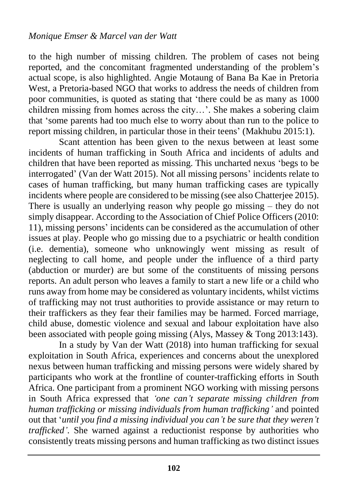to the high number of missing children. The problem of cases not being reported, and the concomitant fragmented understanding of the problem's actual scope, is also highlighted. Angie Motaung of Bana Ba Kae in Pretoria West, a Pretoria-based NGO that works to address the needs of children from poor communities, is quoted as stating that 'there could be as many as 1000 children missing from homes across the city…'. She makes a sobering claim that 'some parents had too much else to worry about than run to the police to report missing children, in particular those in their teens' (Makhubu 2015:1).

Scant attention has been given to the nexus between at least some incidents of human trafficking in South Africa and incidents of adults and children that have been reported as missing. This uncharted nexus 'begs to be interrogated' (Van der Watt 2015). Not all missing persons' incidents relate to cases of human trafficking, but many human trafficking cases are typically incidents where people are considered to be missing (see also Chatterjee 2015). There is usually an underlying reason why people go missing – they do not simply disappear. According to the Association of Chief Police Officers (2010: 11), missing persons' incidents can be considered as the accumulation of other issues at play. People who go missing due to a psychiatric or health condition (i.e. dementia), someone who unknowingly went missing as result of neglecting to call home, and people under the influence of a third party (abduction or murder) are but some of the constituents of missing persons reports. An adult person who leaves a family to start a new life or a child who runs away from home may be considered as voluntary incidents, whilst victims of trafficking may not trust authorities to provide assistance or may return to their traffickers as they fear their families may be harmed. Forced marriage, child abuse, domestic violence and sexual and labour exploitation have also been associated with people going missing (Alys, Massey & Tong 2013:143).

In a study by Van der Watt (2018) into human trafficking for sexual exploitation in South Africa, experiences and concerns about the unexplored nexus between human trafficking and missing persons were widely shared by participants who work at the frontline of counter-trafficking efforts in South Africa. One participant from a prominent NGO working with missing persons in South Africa expressed that *'one can't separate missing children from human trafficking or missing individuals from human trafficking'* and pointed out that '*until you find a missing individual you can't be sure that they weren't trafficked'*. She warned against a reductionist response by authorities who consistently treats missing persons and human trafficking as two distinct issues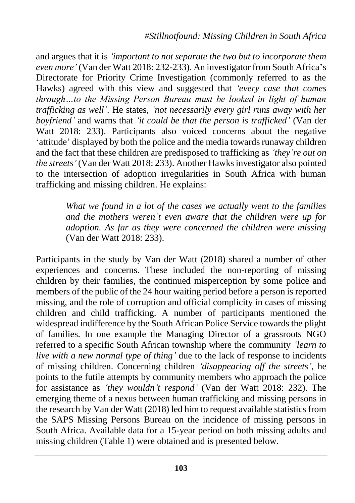and argues that it is *'important to not separate the two but to incorporate them even more'* (Van der Watt 2018: 232-233). An investigator from South Africa's Directorate for Priority Crime Investigation (commonly referred to as the Hawks) agreed with this view and suggested that *'every case that comes through…to the Missing Person Bureau must be looked in light of human trafficking as well'.* He states, *'not necessarily every girl runs away with her boyfriend'* and warns that *'it could be that the person is trafficked'* (Van der Watt 2018: 233). Participants also voiced concerns about the negative 'attitude' displayed by both the police and the media towards runaway children and the fact that these children are predisposed to trafficking as *'they're out on the streets'* (Van der Watt 2018: 233). Another Hawks investigator also pointed to the intersection of adoption irregularities in South Africa with human trafficking and missing children. He explains:

> *What we found in a lot of the cases we actually went to the families and the mothers weren't even aware that the children were up for adoption. As far as they were concerned the children were missing* (Van der Watt 2018: 233).

Participants in the study by Van der Watt (2018) shared a number of other experiences and concerns. These included the non-reporting of missing children by their families, the continued misperception by some police and members of the public of the 24 hour waiting period before a person is reported missing, and the role of corruption and official complicity in cases of missing children and child trafficking. A number of participants mentioned the widespread indifference by the South African Police Service towards the plight of families. In one example the Managing Director of a grassroots NGO referred to a specific South African township where the community *'learn to live with a new normal type of thing'* due to the lack of response to incidents of missing children. Concerning children *'disappearing off the streets'*, he points to the futile attempts by community members who approach the police for assistance as *'they wouldn't respond'* (Van der Watt 2018: 232). The emerging theme of a nexus between human trafficking and missing persons in the research by Van der Watt (2018) led him to request available statistics from the SAPS Missing Persons Bureau on the incidence of missing persons in South Africa. Available data for a 15-year period on both missing adults and missing children (Table 1) were obtained and is presented below.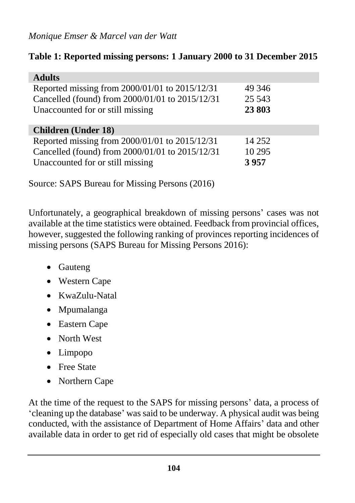### **Table 1: Reported missing persons: 1 January 2000 to 31 December 2015**

| <b>Adults</b>                                   |          |
|-------------------------------------------------|----------|
| Reported missing from 2000/01/01 to 2015/12/31  | 49 34 6  |
| Cancelled (found) from 2000/01/01 to 2015/12/31 | 25 5 43  |
| Unaccounted for or still missing                | 23803    |
|                                                 |          |
| <b>Children</b> (Under 18)                      |          |
| Reported missing from 2000/01/01 to 2015/12/31  | 14 2 5 2 |
| Cancelled (found) from 2000/01/01 to 2015/12/31 | 10 29 5  |
| Unaccounted for or still missing                | 3957     |

Source: SAPS Bureau for Missing Persons (2016)

Unfortunately, a geographical breakdown of missing persons' cases was not available at the time statistics were obtained. Feedback from provincial offices, however, suggested the following ranking of provinces reporting incidences of missing persons (SAPS Bureau for Missing Persons 2016):

- Gauteng
- Western Cape
- KwaZulu-Natal
- Mpumalanga
- Eastern Cape
- North West
- Limpopo
- Free State
- Northern Cape

At the time of the request to the SAPS for missing persons' data, a process of 'cleaning up the database' was said to be underway. A physical audit was being conducted, with the assistance of Department of Home Affairs' data and other available data in order to get rid of especially old cases that might be obsolete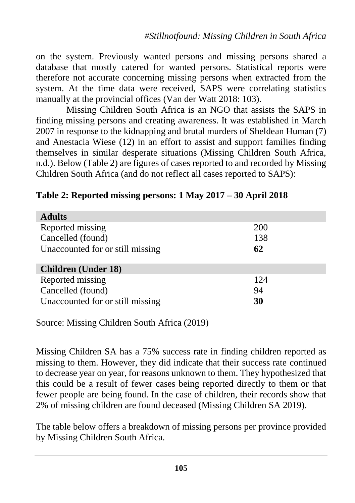on the system. Previously wanted persons and missing persons shared a database that mostly catered for wanted persons. Statistical reports were therefore not accurate concerning missing persons when extracted from the system. At the time data were received, SAPS were correlating statistics manually at the provincial offices (Van der Watt 2018: 103).

Missing Children South Africa is an NGO that assists the SAPS in finding missing persons and creating awareness. It was established in March 2007 in response to the kidnapping and brutal murders of Sheldean Human (7) and Anestacia Wiese (12) in an effort to assist and support families finding themselves in similar desperate situations (Missing Children South Africa, n.d.). Below (Table 2) are figures of cases reported to and recorded by Missing Children South Africa (and do not reflect all cases reported to SAPS):

| <b>Adults</b>                    |     |
|----------------------------------|-----|
| Reported missing                 | 200 |
| Cancelled (found)                | 138 |
| Unaccounted for or still missing | 62  |
|                                  |     |
| <b>Children</b> (Under 18)       |     |
| Reported missing                 | 124 |
| Cancelled (found)                | 94  |
| Unaccounted for or still missing | 30  |

#### **Table 2: Reported missing persons: 1 May 2017 – 30 April 2018**

Source: Missing Children South Africa (2019)

Missing Children SA has a 75% success rate in finding children reported as missing to them. However, they did indicate that their success rate continued to decrease year on year, for reasons unknown to them. They hypothesized that this could be a result of fewer cases being reported directly to them or that fewer people are being found. In the case of children, their records show that 2% of missing children are found deceased (Missing Children SA 2019).

The table below offers a breakdown of missing persons per province provided by Missing Children South Africa.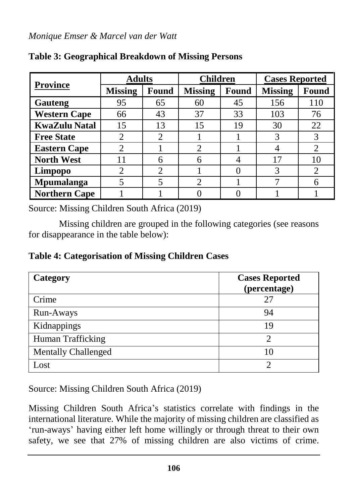| <b>Province</b>      | <b>Adults</b>  |       | <b>Children</b>             |       | <b>Cases Reported</b> |                             |
|----------------------|----------------|-------|-----------------------------|-------|-----------------------|-----------------------------|
|                      | <b>Missing</b> | Found | <b>Missing</b>              | Found | <b>Missing</b>        | Found                       |
| Gauteng              | 95             | 65    | 60                          | 45    | 156                   | 110                         |
| <b>Western Cape</b>  | 66             | 43    | 37                          | 33    | 103                   | 76                          |
| <b>KwaZulu Natal</b> | 15             | 13    | 15                          | 19    | 30                    | 22                          |
| <b>Free State</b>    | $\overline{2}$ | 2     |                             |       | 3                     | 3                           |
| <b>Eastern Cape</b>  | $\mathcal{D}$  |       | 2                           |       |                       | $\mathcal{D}_{\mathcal{L}}$ |
| <b>North West</b>    | 11             | 6     | 6                           |       | 17                    | 10                          |
| Limpopo              | 2              | 2     |                             |       |                       | 2                           |
| <b>Mpumalanga</b>    | 5              |       | $\mathcal{D}_{\mathcal{L}}$ |       |                       | 6                           |
| <b>Northern Cape</b> |                |       |                             |       |                       |                             |

### **Table 3: Geographical Breakdown of Missing Persons**

Source: Missing Children South Africa (2019)

Missing children are grouped in the following categories (see reasons for disappearance in the table below):

**Table 4: Categorisation of Missing Children Cases**

| Category                   | <b>Cases Reported</b><br>(percentage) |
|----------------------------|---------------------------------------|
| Crime                      | 27                                    |
| Run-Aways                  | 94                                    |
| Kidnappings                | 19                                    |
| Human Trafficking          | $\mathfrak{D}$                        |
| <b>Mentally Challenged</b> | 10                                    |
| Lost                       | ↑                                     |

Source: Missing Children South Africa (2019)

Missing Children South Africa's statistics correlate with findings in the international literature. While the majority of missing children are classified as 'run-aways' having either left home willingly or through threat to their own safety, we see that 27% of missing children are also victims of crime.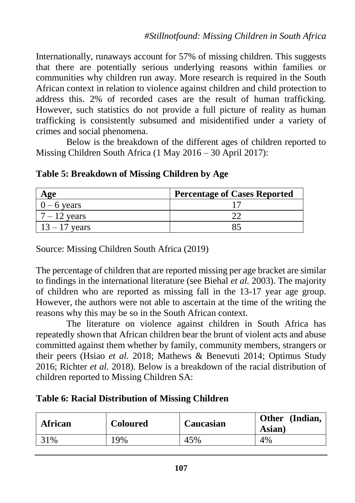Internationally, runaways account for 57% of missing children. This suggests that there are potentially serious underlying reasons within families or communities why children run away. More research is required in the South African context in relation to violence against children and child protection to address this. 2% of recorded cases are the result of human trafficking. However, such statistics do not provide a full picture of reality as human trafficking is consistently subsumed and misidentified under a variety of crimes and social phenomena.

Below is the breakdown of the different ages of children reported to Missing Children South Africa (1 May 2016 – 30 April 2017):

| Age             | <b>Percentage of Cases Reported</b> |  |  |
|-----------------|-------------------------------------|--|--|
| $0 - 6$ years   |                                     |  |  |
| $7 - 12$ years  |                                     |  |  |
| $13 - 17$ years |                                     |  |  |

### **Table 5: Breakdown of Missing Children by Age**

Source: Missing Children South Africa (2019)

The percentage of children that are reported missing per age bracket are similar to findings in the international literature (see Biehal *et al.* 2003). The majority of children who are reported as missing fall in the 13-17 year age group. However, the authors were not able to ascertain at the time of the writing the reasons why this may be so in the South African context.

The literature on violence against children in South Africa has repeatedly shown that African children bear the brunt of violent acts and abuse committed against them whether by family, community members, strangers or their peers (Hsiao *et al.* 2018; Mathews & Benevuti 2014; Optimus Study 2016; Richter *et al.* 2018). Below is a breakdown of the racial distribution of children reported to Missing Children SA:

### **Table 6: Racial Distribution of Missing Children**

| African | <b>Coloured</b> | Caucasian | <b>Other</b><br>(Indian,<br>Asian) |
|---------|-----------------|-----------|------------------------------------|
| 31%     | 19%             | 45%       | 4%                                 |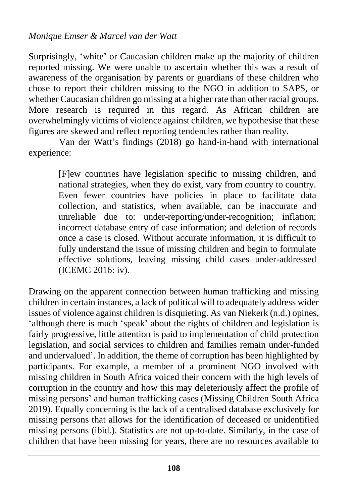Surprisingly, 'white' or Caucasian children make up the majority of children reported missing. We were unable to ascertain whether this was a result of awareness of the organisation by parents or guardians of these children who chose to report their children missing to the NGO in addition to SAPS, or whether Caucasian children go missing at a higher rate than other racial groups. More research is required in this regard. As African children are overwhelmingly victims of violence against children, we hypothesise that these figures are skewed and reflect reporting tendencies rather than reality.

Van der Watt's findings (2018) go hand-in-hand with international experience:

> [F]ew countries have legislation specific to missing children, and national strategies, when they do exist, vary from country to country. Even fewer countries have policies in place to facilitate data collection, and statistics, when available, can be inaccurate and unreliable due to: under-reporting/under-recognition; inflation; incorrect database entry of case information; and deletion of records once a case is closed. Without accurate information, it is difficult to fully understand the issue of missing children and begin to formulate effective solutions, leaving missing child cases under-addressed (ICEMC 2016: iv).

Drawing on the apparent connection between human trafficking and missing children in certain instances, a lack of political will to adequately address wider issues of violence against children is disquieting. As van Niekerk (n.d.) opines, 'although there is much 'speak' about the rights of children and legislation is fairly progressive, little attention is paid to implementation of child protection legislation, and social services to children and families remain under-funded and undervalued'. In addition, the theme of corruption has been highlighted by participants. For example, a member of a prominent NGO involved with missing children in South Africa voiced their concern with the high levels of corruption in the country and how this may deleteriously affect the profile of missing persons' and human trafficking cases (Missing Children South Africa 2019). Equally concerning is the lack of a centralised database exclusively for missing persons that allows for the identification of deceased or unidentified missing persons (ibid.). Statistics are not up-to-date. Similarly, in the case of children that have been missing for years, there are no resources available to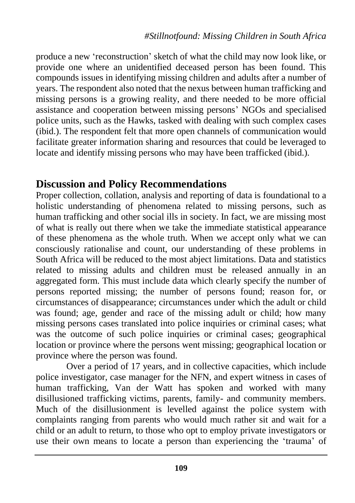produce a new 'reconstruction' sketch of what the child may now look like, or provide one where an unidentified deceased person has been found. This compounds issues in identifying missing children and adults after a number of years. The respondent also noted that the nexus between human trafficking and missing persons is a growing reality, and there needed to be more official assistance and cooperation between missing persons' NGOs and specialised police units, such as the Hawks, tasked with dealing with such complex cases (ibid.). The respondent felt that more open channels of communication would facilitate greater information sharing and resources that could be leveraged to locate and identify missing persons who may have been trafficked (ibid.).

### **Discussion and Policy Recommendations**

Proper collection, collation, analysis and reporting of data is foundational to a holistic understanding of phenomena related to missing persons, such as human trafficking and other social ills in society. In fact, we are missing most of what is really out there when we take the immediate statistical appearance of these phenomena as the whole truth. When we accept only what we can consciously rationalise and count, our understanding of these problems in South Africa will be reduced to the most abject limitations. Data and statistics related to missing adults and children must be released annually in an aggregated form. This must include data which clearly specify the number of persons reported missing; the number of persons found; reason for, or circumstances of disappearance; circumstances under which the adult or child was found; age, gender and race of the missing adult or child; how many missing persons cases translated into police inquiries or criminal cases; what was the outcome of such police inquiries or criminal cases; geographical location or province where the persons went missing; geographical location or province where the person was found.

Over a period of 17 years, and in collective capacities, which include police investigator, case manager for the NFN, and expert witness in cases of human trafficking, Van der Watt has spoken and worked with many disillusioned trafficking victims, parents, family- and community members. Much of the disillusionment is levelled against the police system with complaints ranging from parents who would much rather sit and wait for a child or an adult to return, to those who opt to employ private investigators or use their own means to locate a person than experiencing the 'trauma' of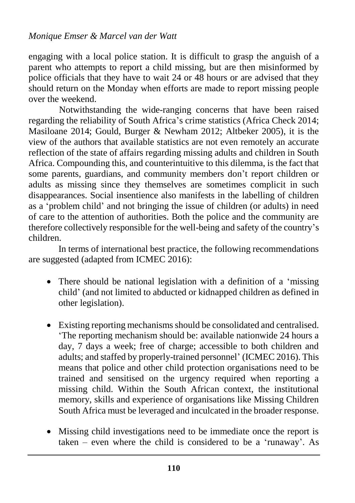engaging with a local police station. It is difficult to grasp the anguish of a parent who attempts to report a child missing, but are then misinformed by police officials that they have to wait 24 or 48 hours or are advised that they should return on the Monday when efforts are made to report missing people over the weekend.

Notwithstanding the wide-ranging concerns that have been raised regarding the reliability of South Africa's crime statistics (Africa Check 2014; Masiloane 2014; Gould, Burger & Newham 2012; Altbeker 2005), it is the view of the authors that available statistics are not even remotely an accurate reflection of the state of affairs regarding missing adults and children in South Africa. Compounding this, and counterintuitive to this dilemma, is the fact that some parents, guardians, and community members don't report children or adults as missing since they themselves are sometimes complicit in such disappearances. Social insentience also manifests in the labelling of children as a 'problem child' and not bringing the issue of children (or adults) in need of care to the attention of authorities. Both the police and the community are therefore collectively responsible for the well-being and safety of the country's children.

In terms of international best practice, the following recommendations are suggested (adapted from ICMEC 2016):

- There should be national legislation with a definition of a 'missing' child' (and not limited to abducted or kidnapped children as defined in other legislation).
- Existing reporting mechanisms should be consolidated and centralised. 'The reporting mechanism should be: available nationwide 24 hours a day, 7 days a week; free of charge; accessible to both children and adults; and staffed by properly-trained personnel' (ICMEC 2016). This means that police and other child protection organisations need to be trained and sensitised on the urgency required when reporting a missing child. Within the South African context, the institutional memory, skills and experience of organisations like Missing Children South Africa must be leveraged and inculcated in the broader response.
- Missing child investigations need to be immediate once the report is taken – even where the child is considered to be a 'runaway'. As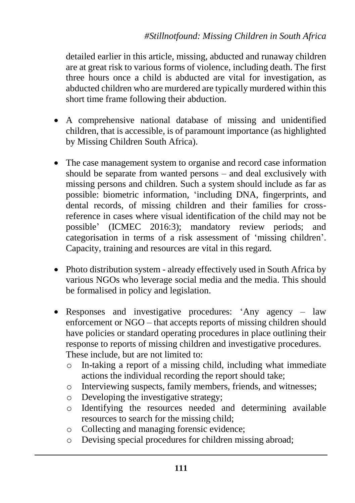detailed earlier in this article, missing, abducted and runaway children are at great risk to various forms of violence, including death. The first three hours once a child is abducted are vital for investigation, as abducted children who are murdered are typically murdered within this short time frame following their abduction.

- A comprehensive national database of missing and unidentified children, that is accessible, is of paramount importance (as highlighted by Missing Children South Africa).
- The case management system to organise and record case information should be separate from wanted persons – and deal exclusively with missing persons and children. Such a system should include as far as possible: biometric information, 'including DNA, fingerprints, and dental records, of missing children and their families for crossreference in cases where visual identification of the child may not be possible' (ICMEC 2016:3); mandatory review periods; and categorisation in terms of a risk assessment of 'missing children'. Capacity, training and resources are vital in this regard.
- Photo distribution system already effectively used in South Africa by various NGOs who leverage social media and the media. This should be formalised in policy and legislation.
- Responses and investigative procedures: 'Any agency law enforcement or NGO – that accepts reports of missing children should have policies or standard operating procedures in place outlining their response to reports of missing children and investigative procedures. These include, but are not limited to:
	- o In-taking a report of a missing child, including what immediate actions the individual recording the report should take;
	- o Interviewing suspects, family members, friends, and witnesses;
	- o Developing the investigative strategy;
	- o Identifying the resources needed and determining available resources to search for the missing child;
	- o Collecting and managing forensic evidence;
	- o Devising special procedures for children missing abroad;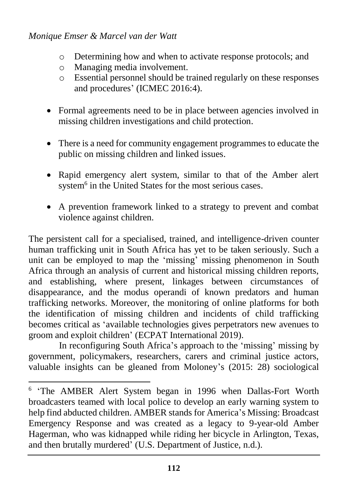$\overline{a}$ 

- o Determining how and when to activate response protocols; and
- o Managing media involvement.
- o Essential personnel should be trained regularly on these responses and procedures' (ICMEC 2016:4).
- Formal agreements need to be in place between agencies involved in missing children investigations and child protection.
- There is a need for community engagement programmes to educate the public on missing children and linked issues.
- Rapid emergency alert system, similar to that of the Amber alert system<sup>6</sup> in the United States for the most serious cases.
- A prevention framework linked to a strategy to prevent and combat violence against children.

The persistent call for a specialised, trained, and intelligence-driven counter human trafficking unit in South Africa has yet to be taken seriously. Such a unit can be employed to map the 'missing' missing phenomenon in South Africa through an analysis of current and historical missing children reports, and establishing, where present, linkages between circumstances of disappearance, and the modus operandi of known predators and human trafficking networks. Moreover, the monitoring of online platforms for both the identification of missing children and incidents of child trafficking becomes critical as 'available technologies gives perpetrators new avenues to groom and exploit children' (ECPAT International 2019).

In reconfiguring South Africa's approach to the 'missing' missing by government, policymakers, researchers, carers and criminal justice actors, valuable insights can be gleaned from Moloney's (2015: 28) sociological

<sup>&</sup>lt;sup>6</sup> 'The AMBER Alert System began in 1996 when Dallas-Fort Worth broadcasters teamed with local police to develop an early warning system to help find abducted children. AMBER stands for America's Missing: Broadcast Emergency Response and was created as a legacy to 9-year-old Amber Hagerman, who was kidnapped while riding her bicycle in Arlington, Texas, and then brutally murdered' (U.S. Department of Justice, n.d.).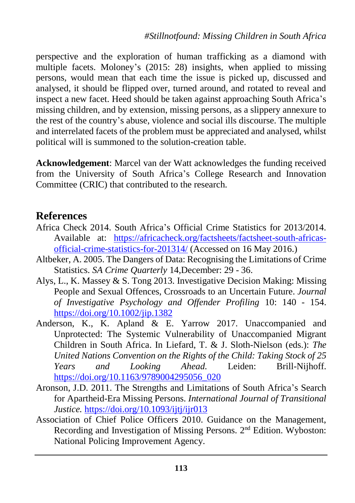perspective and the exploration of human trafficking as a diamond with multiple facets. Moloney's (2015: 28) insights, when applied to missing persons, would mean that each time the issue is picked up, discussed and analysed, it should be flipped over, turned around, and rotated to reveal and inspect a new facet. Heed should be taken against approaching South Africa's missing children, and by extension, missing persons, as a slippery annexure to the rest of the country's abuse, violence and social ills discourse. The multiple and interrelated facets of the problem must be appreciated and analysed, whilst political will is summoned to the solution-creation table.

**Acknowledgement**: Marcel van der Watt acknowledges the funding received from the University of South Africa's College Research and Innovation Committee (CRIC) that contributed to the research.

### **References**

- Africa Check 2014. South Africa's Official Crime Statistics for 2013/2014. Available at: [https://africacheck.org/factsheets/factsheet-south-africas](https://africacheck.org/factsheets/factsheet-south-africas-official-crime-statistics-for-201314/)[official-crime-statistics-for-201314/](https://africacheck.org/factsheets/factsheet-south-africas-official-crime-statistics-for-201314/) (Accessed on 16 May 2016.)
- Altbeker, A. 2005. The Dangers of Data: Recognising the Limitations of Crime Statistics. *SA Crime Quarterly* 14,December: 29 - 36.
- Alys, L., K. Massey & S. Tong 2013. Investigative Decision Making: Missing People and Sexual Offences, Crossroads to an Uncertain Future. *Journal of Investigative Psychology and Offender Profiling* 10: 140 - 154. <https://doi.org/10.1002/jip.1382>
- Anderson, K., K. Apland & E. Yarrow 2017. Unaccompanied and Unprotected: The Systemic Vulnerability of Unaccompanied Migrant Children in South Africa. In Liefard, T. & J. Sloth-Nielson (eds.): *The United Nations Convention on the Rights of the Child: Taking Stock of 25 Years and Looking Ahead.* Leiden: Brill-Nijhoff. [https://doi.org/10.1163/9789004295056\\_020](https://doi.org/10.1163/9789004295056_020)
- Aronson, J.D. 2011. The Strengths and Limitations of South Africa's Search for Apartheid-Era Missing Persons. *International Journal of Transitional Justice.* <https://doi.org/10.1093/ijtj/ijr013>
- Association of Chief Police Officers 2010. Guidance on the Management, Recording and Investigation of Missing Persons. 2nd Edition. Wyboston: National Policing Improvement Agency.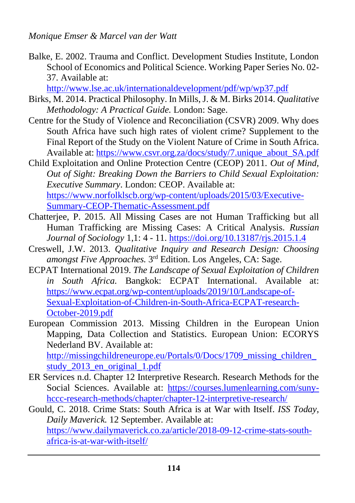Balke, E. 2002. Trauma and Conflict. Development Studies Institute, London School of Economics and Political Science. Working Paper Series No. 02- 37. Available at:

<http://www.lse.ac.uk/internationaldevelopment/pdf/wp/wp37.pdf>

- Birks, M. 2014. Practical Philosophy. In Mills, J. & M. Birks 2014. *Qualitative Methodology: A Practical Guide.* London: Sage.
- Centre for the Study of Violence and Reconciliation (CSVR) 2009. Why does South Africa have such high rates of violent crime? Supplement to the Final Report of the Study on the Violent Nature of Crime in South Africa. Available at[: https://www.csvr.org.za/docs/study/7.unique\\_about\\_SA.pdf](https://www.csvr.org.za/docs/study/7.unique_about_SA.pdf)
- Child Exploitation and Online Protection Centre (CEOP) 2011. *Out of Mind, Out of Sight: Breaking Down the Barriers to Child Sexual Exploitation: Executive Summary*. London: CEOP. Available at: [https://www.norfolklscb.org/wp-content/uploads/2015/03/Executive-](https://www.norfolklscb.org/wp-content/uploads/2015/03/Executive-Summary-CEOP-Thematic-Assessment.pdf)[Summary-CEOP-Thematic-Assessment.pdf](https://www.norfolklscb.org/wp-content/uploads/2015/03/Executive-Summary-CEOP-Thematic-Assessment.pdf)
- Chatterjee, P. 2015. All Missing Cases are not Human Trafficking but all Human Trafficking are Missing Cases: A Critical Analysis. *Russian Journal of Sociology* 1,1: 4 - 11. <https://doi.org/10.13187/rjs.2015.1.4>
- Creswell, J.W. 2013. *Qualitative Inquiry and Research Design: Choosing amongst Five Approaches.* 3 rd Edition. Los Angeles, CA: Sage.
- ECPAT International 2019. *The Landscape of Sexual Exploitation of Children in South Africa.* Bangkok: ECPAT International. Available at: [https://www.ecpat.org/wp-content/uploads/2019/10/Landscape-of-](https://www.ecpat.org/wp-content/uploads/2019/10/Landscape-of-Sexual-Exploitation-of-Children-in-South-Africa-ECPAT-research-October-2019.pdf)[Sexual-Exploitation-of-Children-in-South-Africa-ECPAT-research-](https://www.ecpat.org/wp-content/uploads/2019/10/Landscape-of-Sexual-Exploitation-of-Children-in-South-Africa-ECPAT-research-October-2019.pdf)[October-2019.pdf](https://www.ecpat.org/wp-content/uploads/2019/10/Landscape-of-Sexual-Exploitation-of-Children-in-South-Africa-ECPAT-research-October-2019.pdf)
- European Commission 2013. Missing Children in the European Union Mapping, Data Collection and Statistics. European Union: ECORYS Nederland BV. Available at: [http://missingchildreneurope.eu/Portals/0/Docs/1709\\_missing\\_children\\_](http://missingchildreneurope.eu/Portals/0/Docs/1709_missing_children_study_2013_en_original_1.pdf) [study\\_2013\\_en\\_original\\_1.pdf](http://missingchildreneurope.eu/Portals/0/Docs/1709_missing_children_study_2013_en_original_1.pdf)
- ER Services n.d. Chapter 12 Interpretive Research. Research Methods for the Social Sciences. Available at: [https://courses.lumenlearning.com/suny](https://courses.lumenlearning.com/suny-hccc-research-methods/chapter/chapter-12-interpretive-research/)[hccc-research-methods/chapter/chapter-12-interpretive-research/](https://courses.lumenlearning.com/suny-hccc-research-methods/chapter/chapter-12-interpretive-research/)
- Gould, C. 2018. Crime Stats: South Africa is at War with Itself. *ISS Today, Daily Maverick.* 12 September. Available at: [https://www.dailymaverick.co.za/article/2018-09-12-crime-stats-south](https://www.dailymaverick.co.za/article/2018-09-12-crime-stats-south-africa-is-at-war-with-itself/)[africa-is-at-war-with-itself/](https://www.dailymaverick.co.za/article/2018-09-12-crime-stats-south-africa-is-at-war-with-itself/)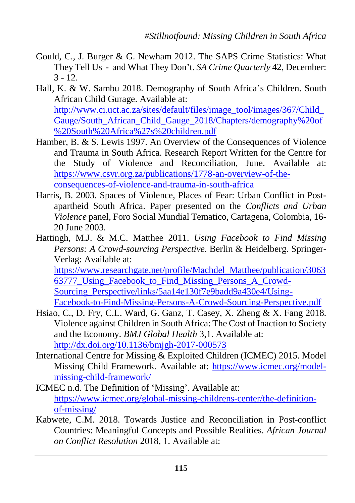- Gould, C., J. Burger & G. Newham 2012. The SAPS Crime Statistics: What They Tell Us - and What They Don't. *SA Crime Quarterly* 42, December:  $3 - 12.$
- Hall, K. & W. Sambu 2018. Demography of South Africa's Children. South African Child Gurage. Available at: [http://www.ci.uct.ac.za/sites/default/files/image\\_tool/images/367/Child\\_](http://www.ci.uct.ac.za/sites/default/files/image_tool/images/367/Child_Gauge/South_African_Child_Gauge_2018/Chapters/demography%20of%20South%20Africa%27s%20children.pdf) [Gauge/South\\_African\\_Child\\_Gauge\\_2018/Chapters/demography%20of](http://www.ci.uct.ac.za/sites/default/files/image_tool/images/367/Child_Gauge/South_African_Child_Gauge_2018/Chapters/demography%20of%20South%20Africa%27s%20children.pdf) [%20South%20Africa%27s%20children.pdf](http://www.ci.uct.ac.za/sites/default/files/image_tool/images/367/Child_Gauge/South_African_Child_Gauge_2018/Chapters/demography%20of%20South%20Africa%27s%20children.pdf)
- Hamber, B. & S. Lewis 1997. An Overview of the Consequences of Violence and Trauma in South Africa. Research Report Written for the Centre for the Study of Violence and Reconciliation, June. Available at: [https://www.csvr.org.za/publications/1778-an-overview-of-the](https://www.csvr.org.za/publications/1778-an-overview-of-the-consequences-of-violence-and-trauma-in-south-africa)[consequences-of-violence-and-trauma-in-south-africa](https://www.csvr.org.za/publications/1778-an-overview-of-the-consequences-of-violence-and-trauma-in-south-africa)
- Harris, B. 2003. Spaces of Violence, Places of Fear: Urban Conflict in Postapartheid South Africa. Paper presented on the *Conflicts and Urban Violence* panel, Foro Social Mundial Tematico, Cartagena, Colombia, 16- 20 June 2003.
- Hattingh, M.J. & M.C. Matthee 2011. *Using Facebook to Find Missing Persons: A Crowd-sourcing Perspective.* Berlin & Heidelberg. Springer-Verlag: Available at: [https://www.researchgate.net/profile/Machdel\\_Matthee/publication/3063](https://www.researchgate.net/profile/Machdel_Matthee/publication/306363777_Using_Facebook_to_Find_Missing_Persons_A_Crowd-Sourcing_Perspective/links/5aa14e130f7e9badd9a430e4/Using-Facebook-to-Find-Missing-Persons-A-Crowd-Sourcing-Perspective.pdf)

63777 Using Facebook to Find Missing Persons A Crowd-[Sourcing\\_Perspective/links/5aa14e130f7e9badd9a430e4/Using-](https://www.researchgate.net/profile/Machdel_Matthee/publication/306363777_Using_Facebook_to_Find_Missing_Persons_A_Crowd-Sourcing_Perspective/links/5aa14e130f7e9badd9a430e4/Using-Facebook-to-Find-Missing-Persons-A-Crowd-Sourcing-Perspective.pdf)[Facebook-to-Find-Missing-Persons-A-Crowd-Sourcing-Perspective.pdf](https://www.researchgate.net/profile/Machdel_Matthee/publication/306363777_Using_Facebook_to_Find_Missing_Persons_A_Crowd-Sourcing_Perspective/links/5aa14e130f7e9badd9a430e4/Using-Facebook-to-Find-Missing-Persons-A-Crowd-Sourcing-Perspective.pdf)

- Hsiao, C., D. Fry, C.L. Ward, G. Ganz, T. Casey, X. Zheng & X. Fang 2018. Violence against Children in South Africa: The Cost of Inaction to Society and the Economy. *BMJ Global Health* 3,1. Available at: <http://dx.doi.org/10.1136/bmjgh-2017-000573>
- International Centre for Missing & Exploited Children (ICMEC) 2015. Model Missing Child Framework. Available at: [https://www.icmec.org/model](https://www.icmec.org/model-missing-child-framework/)[missing-child-framework/](https://www.icmec.org/model-missing-child-framework/)
- ICMEC n.d. The Definition of 'Missing'. Available at: [https://www.icmec.org/global-missing-childrens-center/the-definition](https://www.icmec.org/global-missing-childrens-center/the-definition-of-missing/)[of-missing/](https://www.icmec.org/global-missing-childrens-center/the-definition-of-missing/)
- Kabwete, C.M. 2018. Towards Justice and Reconciliation in Post-conflict Countries: Meaningful Concepts and Possible Realities. *African Journal on Conflict Resolution* 2018, 1. Available at: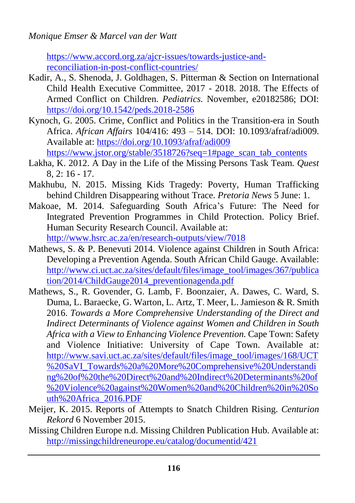[https://www.accord.org.za/ajcr-issues/towards-justice-and](https://www.accord.org.za/ajcr-issues/towards-justice-and-reconciliation-in-post-conflict-countries/)[reconciliation-in-post-conflict-countries/](https://www.accord.org.za/ajcr-issues/towards-justice-and-reconciliation-in-post-conflict-countries/)

- Kadir, A., S. Shenoda, J. Goldhagen, S. Pitterman & Section on International Child Health Executive Committee, 2017 - 2018. 2018. The Effects of Armed Conflict on Children. *Pediatrics.* November, e20182586; DOI: <https://doi.org/10.1542/peds.2018-2586>
- Kynoch, G. 2005. Crime, Conflict and Politics in the Transition-era in South Africa. *African Affairs* 104/416: 493 – 514. DOI: 10.1093/afraf/adi009. Available at: <https://doi.org/10.1093/afraf/adi009> [https://www.jstor.org/stable/3518726?seq=1#page\\_scan\\_tab\\_contents](https://www.jstor.org/stable/3518726?seq=1#page_scan_tab_contents)
- Lakha, K. 2012. A Day in the Life of the Missing Persons Task Team. *Quest* 8, 2: 16 - 17.
- Makhubu, N. 2015. Missing Kids Tragedy: Poverty, Human Trafficking behind Children Disappearing without Trace. *Pretoria News* 5 June: 1.
- Makoae, M. 2014. Safeguarding South Africa's Future: The Need for Integrated Prevention Programmes in Child Protection. Policy Brief. Human Security Research Council. Available at: <http://www.hsrc.ac.za/en/research-outputs/view/7018>
- Mathews, S. & P. Benevuti 2014. Violence against Children in South Africa: Developing a Prevention Agenda. South African Child Gauge. Available: [http://www.ci.uct.ac.za/sites/default/files/image\\_tool/images/367/publica](http://www.ci.uct.ac.za/sites/default/files/image_tool/images/367/publication/2014/ChildGauge2014_preventionagenda.pdf) [tion/2014/ChildGauge2014\\_preventionagenda.pdf](http://www.ci.uct.ac.za/sites/default/files/image_tool/images/367/publication/2014/ChildGauge2014_preventionagenda.pdf)
- Mathews, S., R. Govender, G. Lamb, F. Boonzaier, A. Dawes, C. Ward, S. Duma, L. Baraecke, G. Warton, L. Artz, T. Meer, L. Jamieson & R. Smith 2016. *Towards a More Comprehensive Understanding of the Direct and Indirect Determinants of Violence against Women and Children in South Africa with a View to Enhancing Violence Prevention.* Cape Town: Safety and Violence Initiative: University of Cape Town. Available at: [http://www.savi.uct.ac.za/sites/default/files/image\\_tool/images/168/UCT](http://www.savi.uct.ac.za/sites/default/files/image_tool/images/168/UCT%20SaVI_Towards%20a%20More%20Comprehensive%20Understanding%20of%20the%20Direct%20and%20Indirect%20Determinants%20of%20Violence%20against%20Women%20and%20Children%20in%20South%20Africa_2016.PDF) [%20SaVI\\_Towards%20a%20More%20Comprehensive%20Understandi](http://www.savi.uct.ac.za/sites/default/files/image_tool/images/168/UCT%20SaVI_Towards%20a%20More%20Comprehensive%20Understanding%20of%20the%20Direct%20and%20Indirect%20Determinants%20of%20Violence%20against%20Women%20and%20Children%20in%20South%20Africa_2016.PDF) [ng%20of%20the%20Direct%20and%20Indirect%20Determinants%20of](http://www.savi.uct.ac.za/sites/default/files/image_tool/images/168/UCT%20SaVI_Towards%20a%20More%20Comprehensive%20Understanding%20of%20the%20Direct%20and%20Indirect%20Determinants%20of%20Violence%20against%20Women%20and%20Children%20in%20South%20Africa_2016.PDF) [%20Violence%20against%20Women%20and%20Children%20in%20So](http://www.savi.uct.ac.za/sites/default/files/image_tool/images/168/UCT%20SaVI_Towards%20a%20More%20Comprehensive%20Understanding%20of%20the%20Direct%20and%20Indirect%20Determinants%20of%20Violence%20against%20Women%20and%20Children%20in%20South%20Africa_2016.PDF) [uth%20Africa\\_2016.PDF](http://www.savi.uct.ac.za/sites/default/files/image_tool/images/168/UCT%20SaVI_Towards%20a%20More%20Comprehensive%20Understanding%20of%20the%20Direct%20and%20Indirect%20Determinants%20of%20Violence%20against%20Women%20and%20Children%20in%20South%20Africa_2016.PDF)
- Meijer, K. 2015. Reports of Attempts to Snatch Children Rising. *Centurion Rekord* 6 November 2015.
- Missing Children Europe n.d. Missing Children Publication Hub. Available at: <http://missingchildreneurope.eu/catalog/documentid/421>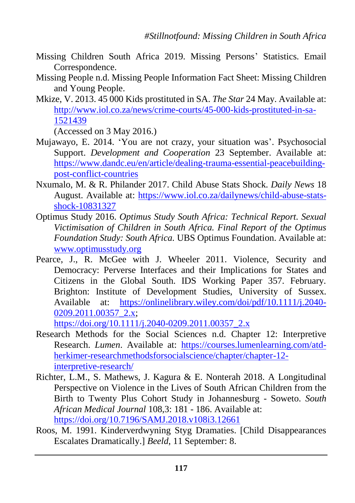- Missing Children South Africa 2019. Missing Persons' Statistics. Email Correspondence.
- Missing People n.d. Missing People Information Fact Sheet: Missing Children and Young People.
- Mkize, V. 2013. 45 000 Kids prostituted in SA. *The Star* 24 May. Available at: [http://www.iol.co.za/news/crime-courts/45-000-kids-prostituted-in-sa-](http://www.iol.co.za/news/crime-courts/45-000-kids-prostituted-in-sa-1521439)[1521439](http://www.iol.co.za/news/crime-courts/45-000-kids-prostituted-in-sa-1521439)

(Accessed on 3 May 2016.)

- Mujawayo, E. 2014. 'You are not crazy, your situation was'. Psychosocial Support. *Development and Cooperation* 23 September. Available at: [https://www.dandc.eu/en/article/dealing-trauma-essential-peacebuilding](https://www.dandc.eu/en/article/dealing-trauma-essential-peacebuilding-post-conflict-countries)[post-conflict-countries](https://www.dandc.eu/en/article/dealing-trauma-essential-peacebuilding-post-conflict-countries)
- Nxumalo, M. & R. Philander 2017. Child Abuse Stats Shock. *Daily News* 18 August. Available at: [https://www.iol.co.za/dailynews/child-abuse-stats](https://www.iol.co.za/dailynews/child-abuse-stats-shock-10831327)[shock-10831327](https://www.iol.co.za/dailynews/child-abuse-stats-shock-10831327)
- Optimus Study 2016. *Optimus Study South Africa: Technical Report. Sexual Victimisation of Children in South Africa. Final Report of the Optimus Foundation Study: South Africa.* UBS Optimus Foundation. Available at: [www.optimusstudy.org](http://www.optimusstudy.org/)
- Pearce, J., R. McGee with J. Wheeler 2011. Violence, Security and Democracy: Perverse Interfaces and their Implications for States and Citizens in the Global South. IDS Working Paper 357. February. Brighton: Institute of Development Studies, University of Sussex. Available at: [https://onlinelibrary.wiley.com/doi/pdf/10.1111/j.2040-](https://onlinelibrary.wiley.com/doi/pdf/10.1111/j.2040-0209.2011.00357_2.x) 0209.2011.00357<sub>2.x</sub>;

[https://doi.org/10.1111/j.2040-0209.2011.00357\\_2.x](https://doi.org/10.1111/j.2040-0209.2011.00357_2.x)

- Research Methods for the Social Sciences n.d. Chapter 12: Interpretive Research. *Lumen*. Available at: [https://courses.lumenlearning.com/atd](https://courses.lumenlearning.com/atd-herkimer-researchmethodsforsocialscience/chapter/chapter-12-interpretive-research/)[herkimer-researchmethodsforsocialscience/chapter/chapter-12](https://courses.lumenlearning.com/atd-herkimer-researchmethodsforsocialscience/chapter/chapter-12-interpretive-research/) [interpretive-research/](https://courses.lumenlearning.com/atd-herkimer-researchmethodsforsocialscience/chapter/chapter-12-interpretive-research/)
- Richter, L.M., S. Mathews, J. Kagura & E. Nonterah 2018. A Longitudinal Perspective on Violence in the Lives of South African Children from the Birth to Twenty Plus Cohort Study in Johannesburg - Soweto. *South African Medical Journal* 108,3: 181 - 186. Available at: <https://doi.org/10.7196/SAMJ.2018.v108i3.12661>
- Roos, M. 1991. Kinderverdwyning Styg Dramaties. [Child Disappearances Escalates Dramatically.] *Beeld*, 11 September: 8.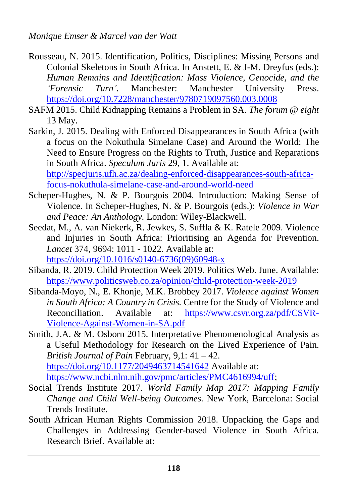- Rousseau, N. 2015. Identification, Politics, Disciplines: Missing Persons and Colonial Skeletons in South Africa. In Anstett, E. & J-M. Dreyfus (eds.): *Human Remains and Identification: Mass Violence, Genocide, and the 'Forensic Turn'.* Manchester: Manchester University Press. <https://doi.org/10.7228/manchester/9780719097560.003.0008>
- SAFM 2015. Child Kidnapping Remains a Problem in SA. *The forum @ eight* 13 May.
- Sarkin, J. 2015. Dealing with Enforced Disappearances in South Africa (with a focus on the Nokuthula Simelane Case) and Around the World: The Need to Ensure Progress on the Rights to Truth, Justice and Reparations in South Africa. *Speculum Juris* 29, 1. Available at: [http://specjuris.ufh.ac.za/dealing-enforced-disappearances-south-africa-](http://specjuris.ufh.ac.za/dealing-enforced-disappearances-south-africa-focus-nokuthula-simelane-case-and-around-world-need)

[focus-nokuthula-simelane-case-and-around-world-need](http://specjuris.ufh.ac.za/dealing-enforced-disappearances-south-africa-focus-nokuthula-simelane-case-and-around-world-need)

- Scheper-Hughes, N. & P. Bourgois 2004. Introduction: Making Sense of Violence. In Scheper-Hughes, N. & P. Bourgois (eds.): *Violence in War and Peace: An Anthology.* London: Wiley-Blackwell.
- Seedat, M., A. van Niekerk, R. Jewkes, S. Suffla & K. Ratele 2009. Violence and Injuries in South Africa: Prioritising an Agenda for Prevention. *Lancet* 374, 9694: 1011 - 1022. Available at: [https://doi.org/10.1016/s0140-6736\(09\)60948-x](https://doi.org/10.1016/s0140-6736(09)60948-x)
- Sibanda, R. 2019. Child Protection Week 2019. Politics Web. June. Available: <https://www.politicsweb.co.za/opinion/child-protection-week-2019>
- Sibanda-Moyo, N., E. Khonje, M.K. Brobbey 2017. *Violence against Women in South Africa: A Country in Crisis.* Centre for the Study of Violence and Reconciliation. Available at: [https://www.csvr.org.za/pdf/CSVR-](https://www.csvr.org.za/pdf/CSVR-Violence-Against-Women-in-SA.pdf)[Violence-Against-Women-in-SA.pdf](https://www.csvr.org.za/pdf/CSVR-Violence-Against-Women-in-SA.pdf)
- Smith, J.A. & M. Osborn 2015. Interpretative Phenomenological Analysis as a Useful Methodology for Research on the Lived Experience of Pain. *British Journal of Pain* February, 9,1: 41 – 42. <https://doi.org/10.1177/2049463714541642> Available at: [https://www.ncbi.nlm.nih.gov/pmc/articles/PMC4616994/uff;](https://www.ncbi.nlm.nih.gov/pmc/articles/PMC4616994/uff)
- Social Trends Institute 2017. *World Family Map 2017: Mapping Family Change and Child Well-being Outcomes.* New York, Barcelona: Social Trends Institute.
- South African Human Rights Commission 2018. Unpacking the Gaps and Challenges in Addressing Gender-based Violence in South Africa. Research Brief. Available at: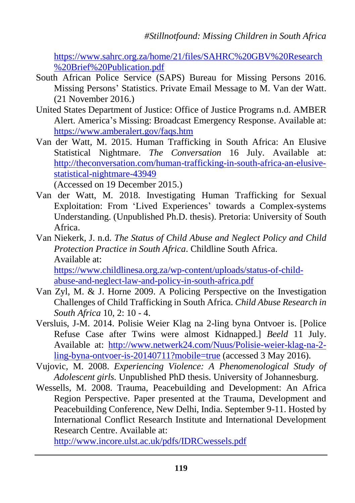[https://www.sahrc.org.za/home/21/files/SAHRC%20GBV%20Research](https://www.sahrc.org.za/home/21/files/SAHRC%20GBV%20Research%20Brief%20Publication.pdf) [%20Brief%20Publication.pdf](https://www.sahrc.org.za/home/21/files/SAHRC%20GBV%20Research%20Brief%20Publication.pdf)

- South African Police Service (SAPS) Bureau for Missing Persons 2016. Missing Persons' Statistics. Private Email Message to M. Van der Watt. (21 November 2016.)
- United States Department of Justice: Office of Justice Programs n.d. AMBER Alert. America's Missing: Broadcast Emergency Response. Available at: <https://www.amberalert.gov/faqs.htm>
- Van der Watt, M. 2015. Human Trafficking in South Africa: An Elusive Statistical Nightmare. *The Conversation* 16 July. Available at: [http://theconversation.com/human-trafficking-in-south-africa-an-elusive](http://theconversation.com/human-trafficking-in-south-africa-an-elusive-statistical-nightmare-43949)[statistical-nightmare-43949](http://theconversation.com/human-trafficking-in-south-africa-an-elusive-statistical-nightmare-43949)

(Accessed on 19 December 2015.)

- Van der Watt, M. 2018. Investigating Human Trafficking for Sexual Exploitation: From 'Lived Experiences' towards a Complex-systems Understanding. (Unpublished Ph.D. thesis). Pretoria: University of South Africa.
- Van Niekerk, J. n.d. *The Status of Child Abuse and Neglect Policy and Child Protection Practice in South Africa*. Childline South Africa. Available at: [https://www.childlinesa.org.za/wp-content/uploads/status-of-child-](https://www.childlinesa.org.za/wp-content/uploads/status-of-child-abuse-and-neglect-law-and-policy-in-south-africa.pdf)

[abuse-and-neglect-law-and-policy-in-south-africa.pdf](https://www.childlinesa.org.za/wp-content/uploads/status-of-child-abuse-and-neglect-law-and-policy-in-south-africa.pdf)

- Van Zyl, M. & J. Horne 2009. A Policing Perspective on the Investigation Challenges of Child Trafficking in South Africa. *Child Abuse Research in South Africa* 10, 2: 10 - 4.
- Versluis, J-M. 2014. Polisie Weier Klag na 2-ling byna Ontvoer is. [Police Refuse Case after Twins were almost Kidnapped.] *Beeld* 11 July. Available at: [http://www.netwerk24.com/Nuus/Polisie-weier-klag-na-2](http://www.netwerk24.com/Nuus/Polisie-weier-klag-na-2-ling-byna-ontvoer-is-20140711?mobile=true) [ling-byna-ontvoer-is-20140711?mobile=true](http://www.netwerk24.com/Nuus/Polisie-weier-klag-na-2-ling-byna-ontvoer-is-20140711?mobile=true) (accessed 3 May 2016).
- Vujovic, M. 2008. *Experiencing Violence: A Phenomenological Study of Adolescent girls.* Unpublished PhD thesis. University of Johannesburg.
- Wessells, M. 2008. Trauma, Peacebuilding and Development: An Africa Region Perspective. Paper presented at the Trauma, Development and Peacebuilding Conference, New Delhi, India. September 9-11. Hosted by International Conflict Research Institute and International Development Research Centre. Available at:

<http://www.incore.ulst.ac.uk/pdfs/IDRCwessels.pdf>